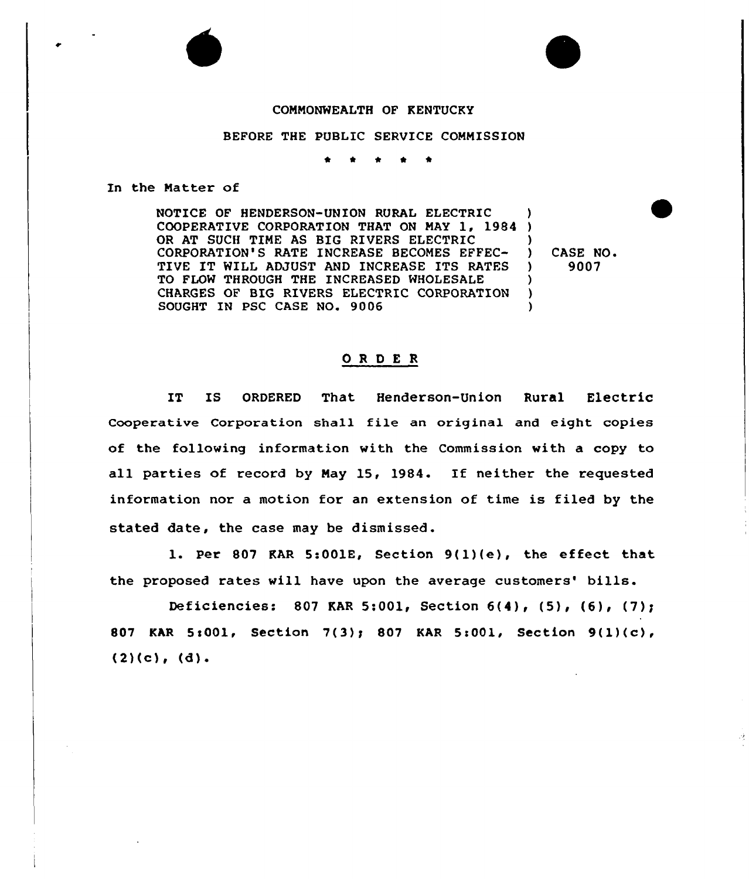## CONMONWEALTH OF KENTUCKY

## BEFORE THE PUBLIC SERVICE COMMISSION

\* \* \* <sup>4</sup> \*

## In the Natter of

NOTICE OF HENDERSON-UNION RURAL ELECTRIC COOPERATIVE CORPORATION THAT ON NAY 1, 1984 ) OR AT SUCH TIME AS BIG RIVERS ELECTRIC CORPORATION'S RATE INCREASE BECOMES EFFEC-TIVE IT WILL ADJUST AND INCREASE ITS RATES TO FLOW THROUGH THE INCREASED WHOLESALE CHARGES OF BIG RIVERS ELECTRIC CORPORATION SOUGHT IN PSC CASE NO. 9006 ) ) ) ) )

) CASE NO. ) 9007

## ORDER

IT IS ORDERED That Henderson-Union Rural Electric Cooperative Corporation shall file an original and eight copies of the following information with the Commission with a copy to all parties of record by Nay 15, 1984. If neither the requested information nor a motion for an extension of time is filed by the stated date, the case may be dismissed.

1. Per <sup>807</sup> RAR 5:001E, Section 9(1)(e), the effect that the proposed rates will have upon the average customers' bills.

Deficiencies: 807 KAR 5:001< Section 6(4)< (5)< (6)< (7)g 807 KAR 5:001, Section 7(3); 807 KAR 5:001, Section 9(1)(c),  $(2)(c)$ ,  $(d)$ .